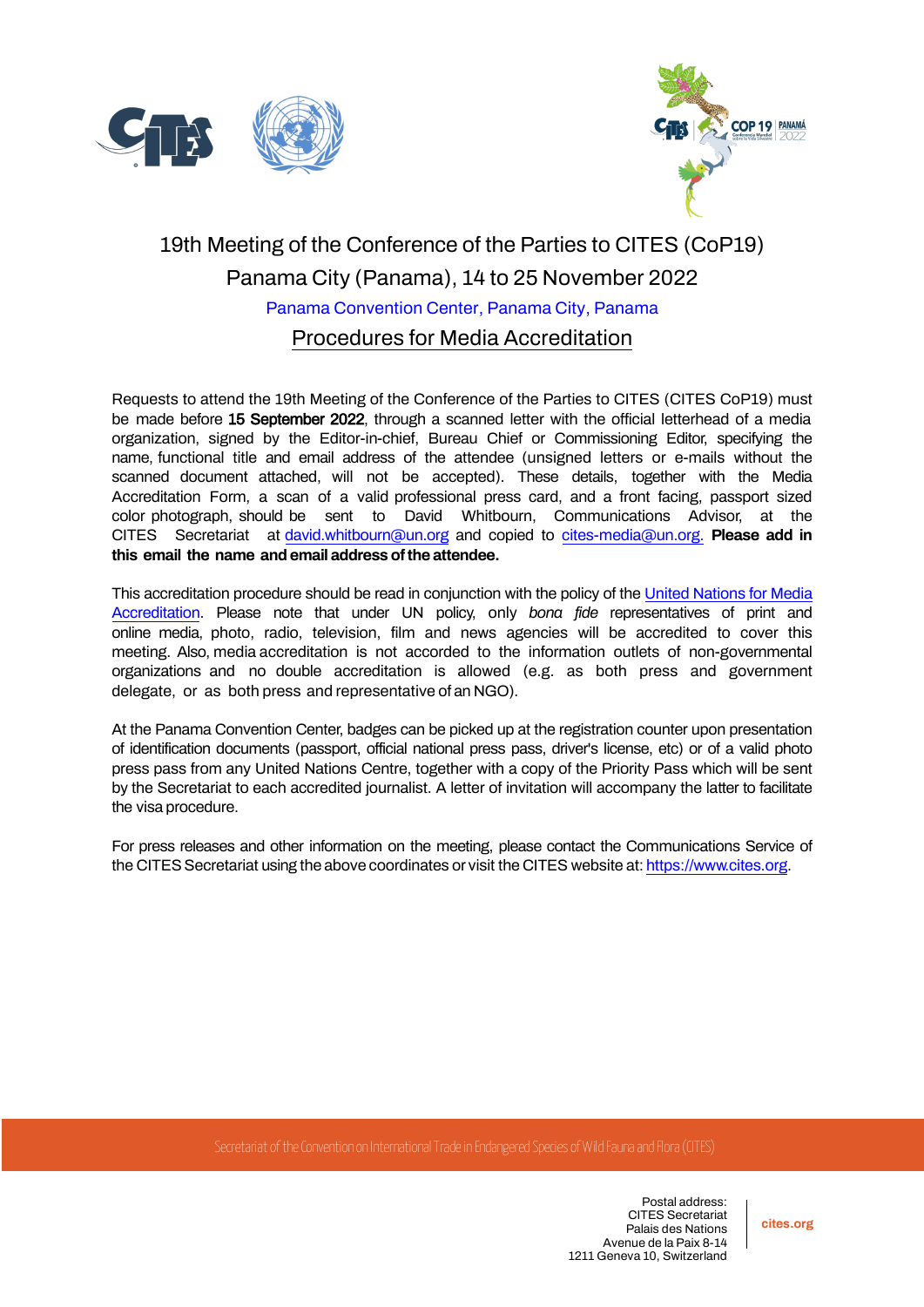



## 19th Meeting of the Conference of the Parties to CITES (CoP19) Panama City (Panama), 14 to 25 November 2022 Panama Convention Center, Panama City, Panama

## Procedures for Media Accreditation

Requests to attend the 19th Meeting of the Conference of the Parties to CITES (CITES CoP19) must be made before 15 September 2022, through a scanned letter with the official letterhead of a media organization, signed by the Editor-in-chief, Bureau Chief or Commissioning Editor, specifying the name, functional title and email address of the attendee (unsigned letters or e-mails without the scanned document attached, will not be accepted). These details, together with the Media Accreditation Form, a scan of a valid professional press card, and a front facing, passport sized color photograph, should be sent to David Whitbourn, Communications Advisor, at the CITES Secretariat at [david.whitbourn@un.org](mailto:david.whitbourn@un.org) and copied to cites-media@un.org. **Please add in this email the name and email address of the attendee.**

[This accreditation procedure should be read in conjunction with the policy of the United Nations for Media](https://www.un.org/en/media/accreditation/index.shtml)  Accreditation. Please note that under UN policy, only *bona fide* representatives of print and online media, photo, radio, television, film and news agencies will be [accredited to cover this](https://www.un.org/en/media/accreditation/index.shtml)  meeting. Also, media accreditation is not accorded to the information outlets of non-governmental [organizations](https://www.un.org/en/media/accreditation/index.shtml) and no double accreditation is allowed (e.g. as both press and government delegate, or as both press and representative of an NGO).

At the Panama Convention Center, badges can be picked up at the registration counter upon presentation of identification documents (passport, official national press pass, driver's license, etc) or of a valid photo press pass from any United Nations Centre, together with a copy of the Priority Pass which will be sent by the Secretariat to each accredited journalist. A letter of invitation will accompany the latter to facilitate the visa procedure.

For press releases and other information on the meeting, please contact the Communications Service of the CITESSecretariat using the above coordinates or visit the CITES website at: https[://www.cites.org.](http://www.cites.org/)

Secretariat of the Convention on International Trade in Endangered Species of Wild Fauna and Flora (CITES)

**cites.org**